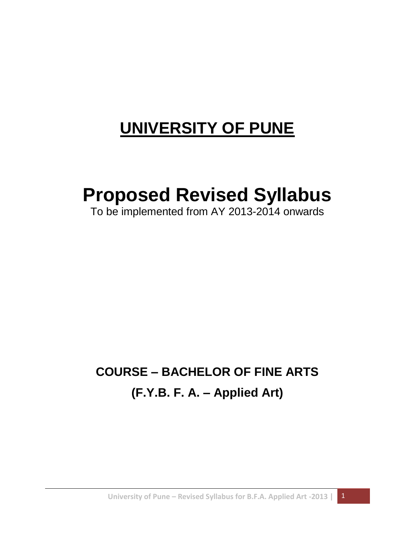# **UNIVERSITY OF PUNE**

# **Proposed Revised Syllabus**

To be implemented from AY 2013-2014 onwards

## **COURSE – BACHELOR OF FINE ARTS (F.Y.B. F. A. – Applied Art)**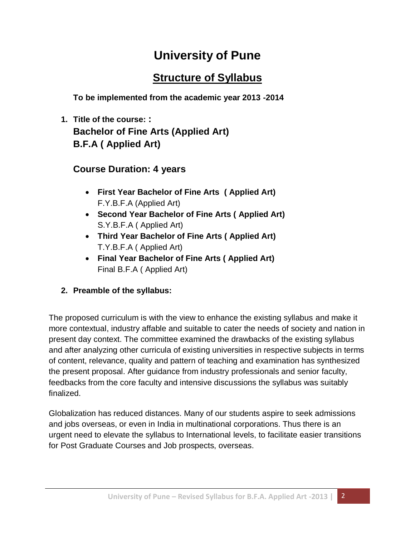## **University of Pune**

## **Structure of Syllabus**

**To be implemented from the academic year 2013 -2014**

**1. Title of the course: : Bachelor of Fine Arts (Applied Art) B.F.A ( Applied Art)**

#### **Course Duration: 4 years**

- **First Year Bachelor of Fine Arts ( Applied Art)** F.Y.B.F.A (Applied Art)
- **Second Year Bachelor of Fine Arts ( Applied Art)** S.Y.B.F.A ( Applied Art)
- **Third Year Bachelor of Fine Arts ( Applied Art)** T.Y.B.F.A ( Applied Art)
- **Final Year Bachelor of Fine Arts ( Applied Art)** Final B.F.A ( Applied Art)
- **2. Preamble of the syllabus:**

The proposed curriculum is with the view to enhance the existing syllabus and make it more contextual, industry affable and suitable to cater the needs of society and nation in present day context. The committee examined the drawbacks of the existing syllabus and after analyzing other curricula of existing universities in respective subjects in terms of content, relevance, quality and pattern of teaching and examination has synthesized the present proposal. After guidance from industry professionals and senior faculty, feedbacks from the core faculty and intensive discussions the syllabus was suitably finalized.

Globalization has reduced distances. Many of our students aspire to seek admissions and jobs overseas, or even in India in multinational corporations. Thus there is an urgent need to elevate the syllabus to International levels, to facilitate easier transitions for Post Graduate Courses and Job prospects, overseas.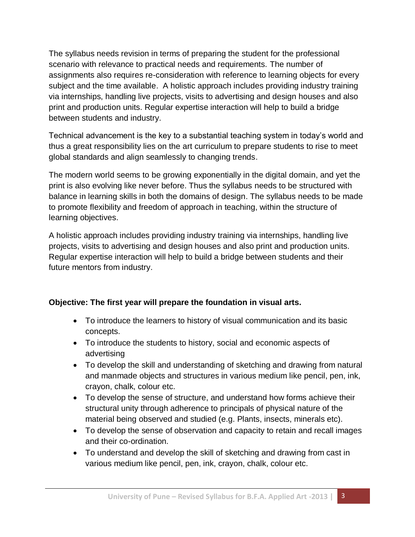The syllabus needs revision in terms of preparing the student for the professional scenario with relevance to practical needs and requirements. The number of assignments also requires re-consideration with reference to learning objects for every subject and the time available. A holistic approach includes providing industry training via internships, handling live projects, visits to advertising and design houses and also print and production units. Regular expertise interaction will help to build a bridge between students and industry.

Technical advancement is the key to a substantial teaching system in today's world and thus a great responsibility lies on the art curriculum to prepare students to rise to meet global standards and align seamlessly to changing trends.

The modern world seems to be growing exponentially in the digital domain, and yet the print is also evolving like never before. Thus the syllabus needs to be structured with balance in learning skills in both the domains of design. The syllabus needs to be made to promote flexibility and freedom of approach in teaching, within the structure of learning objectives.

A holistic approach includes providing industry training via internships, handling live projects, visits to advertising and design houses and also print and production units. Regular expertise interaction will help to build a bridge between students and their future mentors from industry.

#### **Objective: The first year will prepare the foundation in visual arts.**

- To introduce the learners to history of visual communication and its basic concepts.
- To introduce the students to history, social and economic aspects of advertising
- To develop the skill and understanding of sketching and drawing from natural and manmade objects and structures in various medium like pencil, pen, ink, crayon, chalk, colour etc.
- To develop the sense of structure, and understand how forms achieve their structural unity through adherence to principals of physical nature of the material being observed and studied (e.g. Plants, insects, minerals etc).
- To develop the sense of observation and capacity to retain and recall images and their co-ordination.
- To understand and develop the skill of sketching and drawing from cast in various medium like pencil, pen, ink, crayon, chalk, colour etc.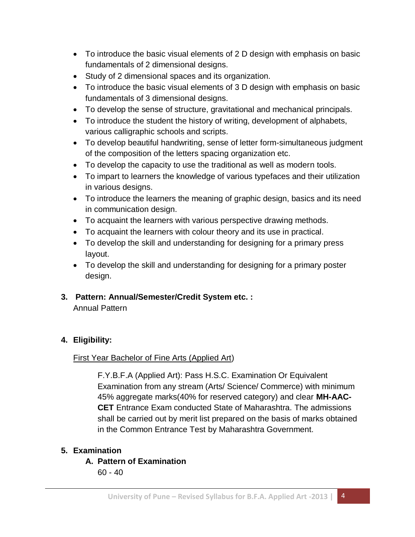- To introduce the basic visual elements of 2 D design with emphasis on basic fundamentals of 2 dimensional designs.
- Study of 2 dimensional spaces and its organization.
- To introduce the basic visual elements of 3 D design with emphasis on basic fundamentals of 3 dimensional designs.
- To develop the sense of structure, gravitational and mechanical principals.
- To introduce the student the history of writing, development of alphabets, various calligraphic schools and scripts.
- To develop beautiful handwriting, sense of letter form-simultaneous judgment of the composition of the letters spacing organization etc.
- To develop the capacity to use the traditional as well as modern tools.
- To impart to learners the knowledge of various typefaces and their utilization in various designs.
- To introduce the learners the meaning of graphic design, basics and its need in communication design.
- To acquaint the learners with various perspective drawing methods.
- To acquaint the learners with colour theory and its use in practical.
- To develop the skill and understanding for designing for a primary press layout.
- To develop the skill and understanding for designing for a primary poster design.
- **3. Pattern: Annual/Semester/Credit System etc. :**

Annual Pattern

#### **4. Eligibility:**

#### First Year Bachelor of Fine Arts (Applied Art)

F.Y.B.F.A (Applied Art): Pass H.S.C. Examination Or Equivalent Examination from any stream (Arts/ Science/ Commerce) with minimum 45% aggregate marks(40% for reserved category) and clear **MH-AAC-CET** Entrance Exam conducted State of Maharashtra. The admissions shall be carried out by merit list prepared on the basis of marks obtained in the Common Entrance Test by Maharashtra Government.

#### **5. Examination**

**A. Pattern of Examination** 60 - 40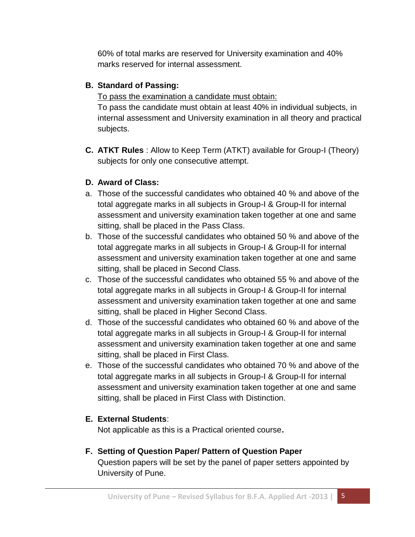60% of total marks are reserved for University examination and 40% marks reserved for internal assessment.

#### **B. Standard of Passing:**

To pass the examination a candidate must obtain:

To pass the candidate must obtain at least 40% in individual subjects, in internal assessment and University examination in all theory and practical subjects.

**C. ATKT Rules** : Allow to Keep Term (ATKT) available for Group-I (Theory) subjects for only one consecutive attempt.

#### **D. Award of Class:**

- a. Those of the successful candidates who obtained 40 % and above of the total aggregate marks in all subjects in Group-I & Group-II for internal assessment and university examination taken together at one and same sitting, shall be placed in the Pass Class.
- b. Those of the successful candidates who obtained 50 % and above of the total aggregate marks in all subjects in Group-I & Group-II for internal assessment and university examination taken together at one and same sitting, shall be placed in Second Class.
- c. Those of the successful candidates who obtained 55 % and above of the total aggregate marks in all subjects in Group-I & Group-II for internal assessment and university examination taken together at one and same sitting, shall be placed in Higher Second Class.
- d. Those of the successful candidates who obtained 60 % and above of the total aggregate marks in all subjects in Group-I & Group-II for internal assessment and university examination taken together at one and same sitting, shall be placed in First Class.
- e. Those of the successful candidates who obtained 70 % and above of the total aggregate marks in all subjects in Group-I & Group-II for internal assessment and university examination taken together at one and same sitting, shall be placed in First Class with Distinction.

#### **E. External Students**:

Not applicable as this is a Practical oriented course**.**

#### **F. Setting of Question Paper/ Pattern of Question Paper**

Question papers will be set by the panel of paper setters appointed by University of Pune.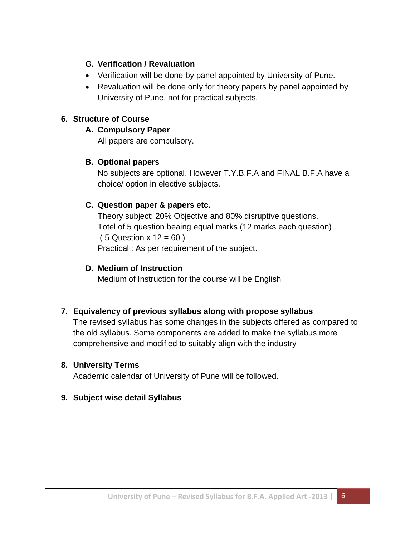#### **G. Verification / Revaluation**

- Verification will be done by panel appointed by University of Pune.
- Revaluation will be done only for theory papers by panel appointed by University of Pune, not for practical subjects.

#### **6. Structure of Course**

#### **A. Compulsory Paper**

All papers are compulsory.

#### **B. Optional papers**

No subjects are optional. However T.Y.B.F.A and FINAL B.F.A have a choice/ option in elective subjects.

#### **C. Question paper & papers etc.**

Theory subject: 20% Objective and 80% disruptive questions. Totel of 5 question beaing equal marks (12 marks each question)  $(5$  Question x  $12 = 60$ ) Practical : As per requirement of the subject.

#### **D. Medium of Instruction**

Medium of Instruction for the course will be English

#### **7. Equivalency of previous syllabus along with propose syllabus**

The revised syllabus has some changes in the subjects offered as compared to the old syllabus. Some components are added to make the syllabus more comprehensive and modified to suitably align with the industry

#### **8. University Terms**

Academic calendar of University of Pune will be followed.

#### **9. Subject wise detail Syllabus**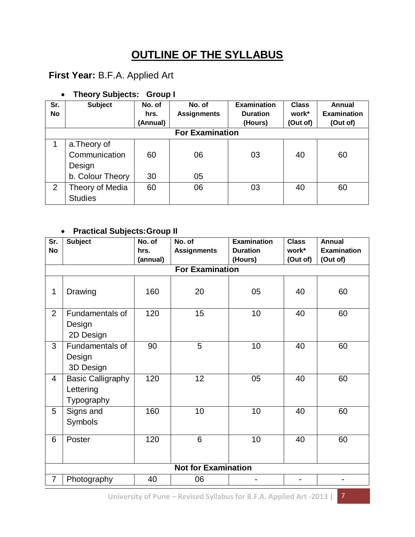## **OUTLINE OF THE SYLLABUS**

### **First Year:** B.F.A. Applied Art

#### **Theory Subjects: Group I**

| Sr. | <b>Subject</b>         | No. of   | No. of             | <b>Examination</b> | <b>Class</b> | Annual             |  |  |
|-----|------------------------|----------|--------------------|--------------------|--------------|--------------------|--|--|
| No  |                        | hrs.     | <b>Assignments</b> | <b>Duration</b>    | work*        | <b>Examination</b> |  |  |
|     |                        | (Annual) |                    | (Hours)            | (Out of)     | (Out of)           |  |  |
|     | <b>For Examination</b> |          |                    |                    |              |                    |  |  |
|     | a. Theory of           |          |                    |                    |              |                    |  |  |
|     | Communication          | 60       | 06                 | 03                 | 40           | 60                 |  |  |
|     | Design                 |          |                    |                    |              |                    |  |  |
|     | b. Colour Theory       | 30       | 05                 |                    |              |                    |  |  |
| 2   | Theory of Media        | 60       | 06                 | 03                 | 40           | 60                 |  |  |
|     | <b>Studies</b>         |          |                    |                    |              |                    |  |  |

#### **Practical Subjects:Group II**

| $\overline{\text{Sr.}}$    | <b>Subject</b>                                      | No. of   | No. of                 | <b>Examination</b> | <b>Class</b> | <b>Annual</b>      |
|----------------------------|-----------------------------------------------------|----------|------------------------|--------------------|--------------|--------------------|
| <b>No</b>                  |                                                     | hrs.     | <b>Assignments</b>     | <b>Duration</b>    | work*        | <b>Examination</b> |
|                            |                                                     | (annual) |                        | (Hours)            | (Out of)     | (Out of)           |
|                            |                                                     |          | <b>For Examination</b> |                    |              |                    |
| 1                          | Drawing                                             | 160      | 20                     | 05                 | 40           | 60                 |
| 2                          | Fundamentals of<br>Design<br>2D Design              | 120      | 15                     | 10                 | 40           | 60                 |
| 3                          | Fundamentals of<br>Design<br>3D Design              | 90       | $\overline{5}$         | 10                 | 40           | 60                 |
| $\overline{4}$             | <b>Basic Calligraphy</b><br>Lettering<br>Typography | 120      | 12                     | 05                 | 40           | 60                 |
| 5                          | Signs and<br>Symbols                                | 160      | 10                     | 10                 | 40           | 60                 |
| 6                          | Poster                                              | 120      | 6                      | 10                 | 40           | 60                 |
| <b>Not for Examination</b> |                                                     |          |                        |                    |              |                    |
| $\overline{7}$             | Photography                                         | 40       | 06                     |                    |              |                    |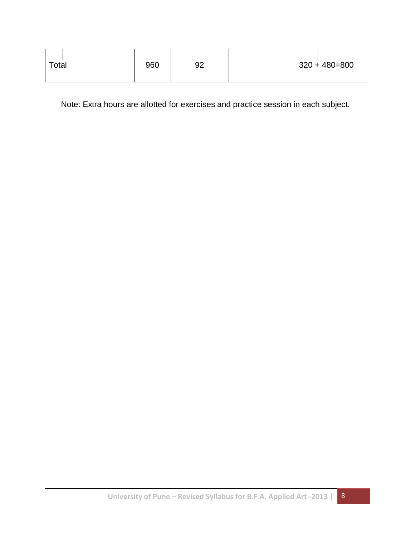| Total | 960 | 92 |  | $320 + 480 = 800$ |
|-------|-----|----|--|-------------------|
|       |     |    |  |                   |

Note: Extra hours are allotted for exercises and practice session in each subject.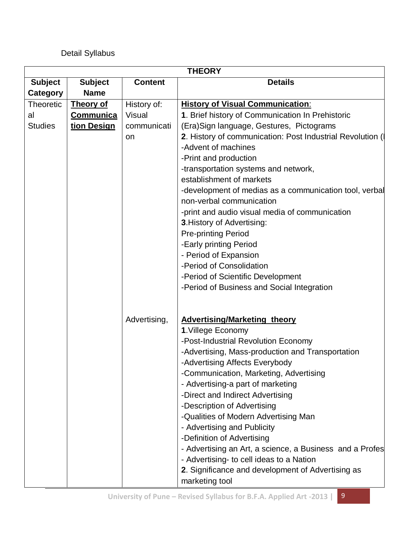#### Detail Syllabus

| <b>THEORY</b>    |                  |                |                                                                                    |  |
|------------------|------------------|----------------|------------------------------------------------------------------------------------|--|
| <b>Subject</b>   | <b>Subject</b>   | <b>Content</b> | <b>Details</b>                                                                     |  |
| Category         | <b>Name</b>      |                |                                                                                    |  |
| <b>Theoretic</b> | <b>Theory of</b> | History of:    | <b>History of Visual Communication:</b>                                            |  |
| al               | <b>Communica</b> | <b>Visual</b>  | 1. Brief history of Communication In Prehistoric                                   |  |
| <b>Studies</b>   | tion Design      | communicati    | (Era) Sign language, Gestures, Pictograms                                          |  |
|                  |                  | on             | 2. History of communication: Post Industrial Revolution (                          |  |
|                  |                  |                | -Advent of machines                                                                |  |
|                  |                  |                | -Print and production                                                              |  |
|                  |                  |                | -transportation systems and network,                                               |  |
|                  |                  |                | establishment of markets                                                           |  |
|                  |                  |                | -development of medias as a communication tool, verbal<br>non-verbal communication |  |
|                  |                  |                | -print and audio visual media of communication                                     |  |
|                  |                  |                | 3. History of Advertising:                                                         |  |
|                  |                  |                | <b>Pre-printing Period</b>                                                         |  |
|                  |                  |                | -Early printing Period                                                             |  |
|                  |                  |                | - Period of Expansion                                                              |  |
|                  |                  |                | -Period of Consolidation                                                           |  |
|                  |                  |                | -Period of Scientific Development                                                  |  |
|                  |                  |                | -Period of Business and Social Integration                                         |  |
|                  |                  |                |                                                                                    |  |
|                  |                  | Advertising,   | <b>Advertising/Marketing theory</b>                                                |  |
|                  |                  |                | 1. Villege Economy                                                                 |  |
|                  |                  |                | -Post-Industrial Revolution Economy                                                |  |
|                  |                  |                | -Advertising, Mass-production and Transportation                                   |  |
|                  |                  |                | -Advertising Affects Everybody                                                     |  |
|                  |                  |                | -Communication, Marketing, Advertising                                             |  |
|                  |                  |                | - Advertising-a part of marketing                                                  |  |
|                  |                  |                | -Direct and Indirect Advertising                                                   |  |
|                  |                  |                | -Description of Advertising                                                        |  |
|                  |                  |                | -Qualities of Modern Advertising Man                                               |  |
|                  |                  |                | - Advertising and Publicity                                                        |  |
|                  |                  |                | -Definition of Advertising                                                         |  |
|                  |                  |                | - Advertising an Art, a science, a Business and a Profes                           |  |
|                  |                  |                | - Advertising- to cell ideas to a Nation                                           |  |
|                  |                  |                | 2. Significance and development of Advertising as                                  |  |
|                  |                  |                | marketing tool                                                                     |  |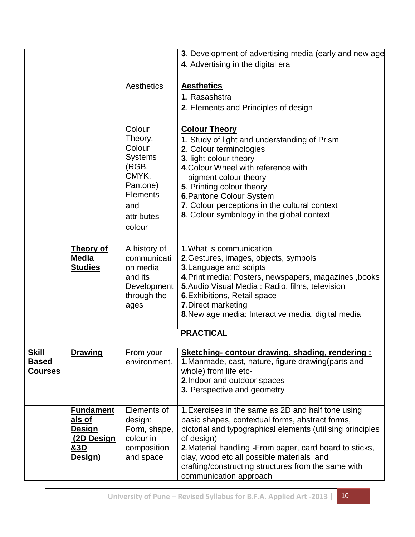|                                                |                                                                                 |                                                                                                                            | 3. Development of advertising media (early and new age                                                                                                                                                                                                                                                                                                                                                                                                              |
|------------------------------------------------|---------------------------------------------------------------------------------|----------------------------------------------------------------------------------------------------------------------------|---------------------------------------------------------------------------------------------------------------------------------------------------------------------------------------------------------------------------------------------------------------------------------------------------------------------------------------------------------------------------------------------------------------------------------------------------------------------|
|                                                |                                                                                 | Aesthetics<br>Colour<br>Theory,<br>Colour<br>Systems<br>(RGB,<br>CMYK,<br>Pantone)<br><b>Elements</b><br>and<br>attributes | 4. Advertising in the digital era<br><b>Aesthetics</b><br>1. Rasashstra<br>2. Elements and Principles of design<br><b>Colour Theory</b><br>1. Study of light and understanding of Prism<br>2. Colour terminologies<br>3. light colour theory<br>4. Colour Wheel with reference with<br>pigment colour theory<br>5. Printing colour theory<br>6. Pantone Colour System<br>7. Colour perceptions in the cultural context<br>8. Colour symbology in the global context |
|                                                |                                                                                 | colour                                                                                                                     |                                                                                                                                                                                                                                                                                                                                                                                                                                                                     |
|                                                | <b>Theory of</b><br><b>Media</b><br><b>Studies</b>                              | A history of<br>communicati<br>on media<br>and its<br>Development<br>through the<br>ages                                   | 1. What is communication<br>2. Gestures, images, objects, symbols<br><b>3. Language and scripts</b><br>4. Print media: Posters, newspapers, magazines, books<br><b>5.</b> Audio Visual Media: Radio, films, television<br>6. Exhibitions, Retail space<br>7. Direct marketing<br>8. New age media: Interactive media, digital media                                                                                                                                 |
|                                                |                                                                                 |                                                                                                                            | <b>PRACTICAL</b>                                                                                                                                                                                                                                                                                                                                                                                                                                                    |
| <b>Skill</b><br><b>Based</b><br><b>Courses</b> | <b>Drawing</b>                                                                  | From your<br>environment.                                                                                                  | Sketching- contour drawing, shading, rendering:<br>1. Manmade, cast, nature, figure drawing(parts and<br>whole) from life etc-<br>2. Indoor and outdoor spaces<br>3. Perspective and geometry                                                                                                                                                                                                                                                                       |
|                                                | <b>Fundament</b><br>als of<br>Design<br>(2D Design<br><u>&amp;3D</u><br>Design) | Elements of<br>design:<br>Form, shape,<br>colour in<br>composition<br>and space                                            | 1. Exercises in the same as 2D and half tone using<br>basic shapes, contextual forms, abstract forms,<br>pictorial and typographical elements (utilising principles<br>of design)<br>2. Material handling - From paper, card board to sticks,<br>clay, wood etc all possible materials and<br>crafting/constructing structures from the same with<br>communication approach                                                                                         |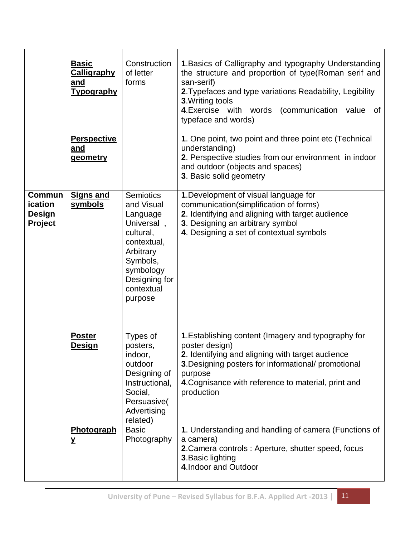|                                                      | <b>Basic</b><br><b>Calligraphy</b><br>and<br><b>Typography</b> | Construction<br>of letter<br>forms                                                                                                                                   | 1. Basics of Calligraphy and typography Understanding<br>the structure and proportion of type(Roman serif and<br>san-serif)<br>2. Typefaces and type variations Readability, Legibility<br>3. Writing tools<br>4. Exercise with words (communication value<br>of<br>typeface and words) |
|------------------------------------------------------|----------------------------------------------------------------|----------------------------------------------------------------------------------------------------------------------------------------------------------------------|-----------------------------------------------------------------------------------------------------------------------------------------------------------------------------------------------------------------------------------------------------------------------------------------|
|                                                      | <b>Perspective</b><br>and<br>geometry                          |                                                                                                                                                                      | 1. One point, two point and three point etc (Technical<br>understanding)<br>2. Perspective studies from our environment in indoor<br>and outdoor (objects and spaces)<br>3. Basic solid geometry                                                                                        |
| <b>Commun</b><br>ication<br><b>Design</b><br>Project | <b>Signs and</b><br>symbols                                    | <b>Semiotics</b><br>and Visual<br>Language<br>Universal,<br>cultural,<br>contextual,<br>Arbitrary<br>Symbols,<br>symbology<br>Designing for<br>contextual<br>purpose | 1. Development of visual language for<br>communication(simplification of forms)<br>2. Identifying and aligning with target audience<br>3. Designing an arbitrary symbol<br>4. Designing a set of contextual symbols                                                                     |
|                                                      | <b>Poster</b><br><u>Design</u>                                 | Types of<br>posters,<br>indoor,<br>outdoor<br>Designing of<br>Instructional,<br>Social,<br>Persuasive(<br>Advertising<br>related)                                    | 1. Establishing content (Imagery and typography for<br>poster design)<br>2. Identifying and aligning with target audience<br>3. Designing posters for informational/ promotional<br>purpose<br>4. Cognisance with reference to material, print and<br>production                        |
|                                                      | Photograph<br>Y                                                | <b>Basic</b><br>Photography                                                                                                                                          | 1. Understanding and handling of camera (Functions of<br>a camera)<br>2. Camera controls : Aperture, shutter speed, focus<br>3. Basic lighting<br>4. Indoor and Outdoor                                                                                                                 |